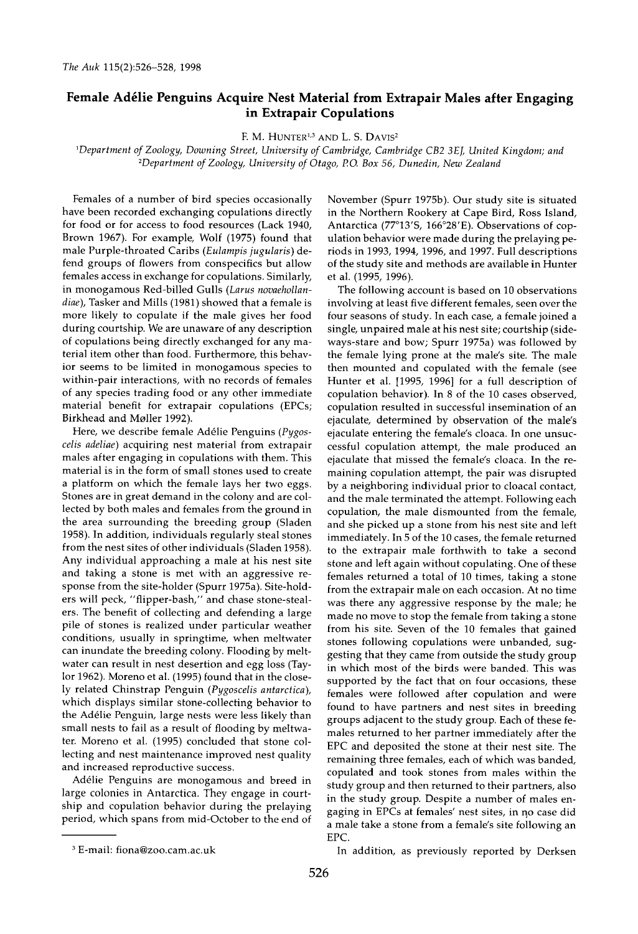## Female Adélie Penguins Acquire Nest Material from Extrapair Males after Engaging **in Extrapair Copulations**

**F. M. HUNTER<sup>1,3</sup> AND L. S. DAVIS<sup>2</sup>** 

**•Department ofZoology, Downing Street, University of Cambridge, Cambridge CB2 3E J, United Kingdom; and 2Department of Zoology, University of Otago, P.O. Box 56, Dunedin, New Zealand** 

**Females of a number of bird species occasionally have been recorded exchanging copulations directly for food or for access to food resources (Lack 1940, Brown 1967). For example, Wolf (1975) found that male Purple-throated Caribs (Eulampis jugularis) defend groups of flowers from conspecifics but allow females access in exchange for copulations. Similarly, in monogamous Red-billed Gulls (Larus novaehollandiae), Tasker and Mills (1981) showed that a female is more likely to copulate if the male gives her food during courtship. We are unaware of any description of copulations being directly exchanged for any material item other than food. Furthermore, this behavior seems to be limited in monogamous species to within-pair interactions, with no records of females of any species trading food or any other immediate material benefit for extrapair copulations (EPCs; Birkhead and Moller 1992).** 

Here, we describe female Adélie Penguins (Pygos**celis adeliae) acquiring nest material from extrapair males after engaging in copulations with them. This material is in the form of small stones used to create a platform on which the female lays her two eggs. Stones are in great demand in the colony and are collected by both males and females from the ground in the area surrounding the breeding group (Sladen 1958). In addition, individuals regularly steal stones from the nest sites of other individuals (Sladen 1958). Any individual approaching a male at his nest site and taking a stone is met with an aggressive response from the site-holder (Spurr 1975a). Site-holders will peck, "flipper-bash," and chase stone-stealers. The benefit of collecting and defending a large pile of stones is realized under particular weather conditions, usually in springtime, when meltwater can inundate the breeding colony. Flooding by meltwater can result in nest desertion and egg loss (Taylor 1962). Moreno et al. (1995) found that in the closely related Chinstrap Penguin (Pygoscelis antarctica), which displays similar stone-collecting behavior to the Ad61ie Penguin, large nests were less likely than small nests to fail as a result of flooding by meltwater. Moreno et al. (1995) concluded that stone collecting and nest maintenance improved nest quality and increased reproductive success.** 

**Ad61ie Penguins are monogamous and breed in large colonies in Antarctica. They engage in courtship and copulation behavior during the prelaying period, which spans from mid-October to the end of**  **November (Spurr 1975b). Our study site is situated in the Northern Rookery at Cape Bird, Ross Island,**  Antarctica (77°13'S, 166°28'E). Observations of cop**ulation behavior were made during the prelaying periods in 1993, 1994, 1996, and 1997. Full descriptions of the study site and methods are available in Hunter et al. (1995, 1996).** 

**The following account is based on 10 observations involving at least five different females, seen over the four seasons of study. In each case, a female joined a single, unpaired male at his nest site; courtship (sideways-stare and bow; Spurr 1975a) was followed by the female lying prone at the male's site. The male then mounted and copulated with the female (see Hunter et al. [1995, 1996] for a full description of copulation behavior). In 8 of the 10 cases observed, copulation resulted in successful insemination of an ejaculate, determined by observation of the male's ejaculate entering the female's cloaca. In one unsuccessful copulation attempt, the male produced an ejaculate that missed the female's cloaca. In the remaining copulation attempt, the pair was disrupted by a neighboring individual prior to cloacal contact, and the male terminated the attempt. Following each copulation, the male dismounted from the female, and she picked up a stone from his nest site and left immediately. In 5 of the 10 cases, the female returned to the extrapair male forthwith to take a second stone and left again without copulating. One of these females returned a total of 10 times, taking a stone from the extrapair male on each occasion. At no time was there any aggressive response by the male; he made no move to stop the female from taking a stone from his site. Seven of the 10 females that gained stones following copulations were unbanded, suggesting that they came from outside the study group in which most of the birds were banded. This was supported by the fact that on four occasions, these females were followed after copulation and were found to have partners and nest sites in breeding**  groups adjacent to the study group. Each of these fe**males returned to her partner immediately after the EPC and deposited the stone at their nest site. The remaining three females, each of which was banded, copulated and took stones from males within the study group and then returned to their partners, also in the study group. Despite a number of males en**gaging in EPCs at females' nest sites, in no case did **a male take a stone from a female's site following an EPC.** 

**In addition, as previously reported by Derksen** 

**E-mail: fiona@zoo.cam.ac.uk**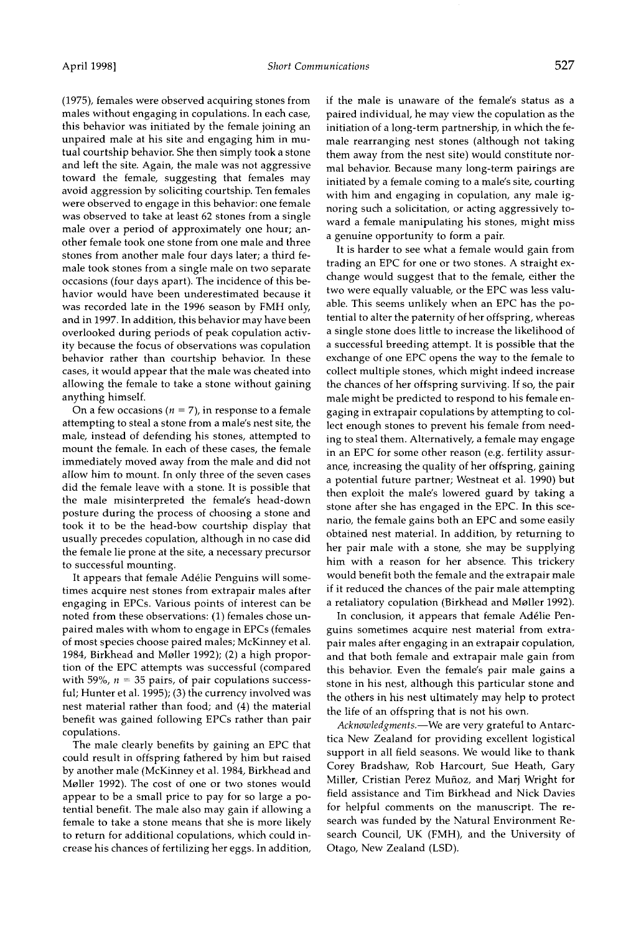**(1975), females were observed acquiring stones from males without engaging in copulations. In each case, this behavior was initiated by the female joining an unpaired male at his site and engaging him in mutual courtship behavior. She then simply took a stone and left the site. Again, the male was not aggressive toward the female, suggesting that females may avoid aggression by soliciting courtship. Ten females were observed to engage in this behavior: one female was observed to take at least 62 stones from a single male over a period of approximately one hour; another female took one stone from one male and three stones from another male four days later; a third female took stones from a single male on two separate occasions (four days apart). The incidence of this behavior would have been underestimated because it was recorded late in the 1996 season by FMH only, and in 1997. In addition, this behavior may have been overlooked during periods of peak copulation activity because the focus of observations was copulation behavior rather than courtship behavior. In these cases, it would appear that the male was cheated into allowing the female to take a stone without gaining anything himself.** 

On a few occasions ( $n = 7$ ), in response to a female **attempting to steal a stone from a male's nest site, the male, instead of defending his stones, attempted to mount the female. In each of these cases, the female immediately moved away from the male and did not allow him to mount. In only three of the seven cases did the female leave with a stone. It is possible that the male misinterpreted the female's head-down posture during the process of choosing a stone and took it to be the head-bow courtship display that usually precedes copulation, although in no case did the female lie prone at the site, a necessary precursor to successful mounting.** 

It appears that female Adélie Penguins will some**times acquire nest stones from extrapair males after engaging in EPCs. Various points of interest can be noted from these observations: (1) females chose unpaired males with whom to engage in EPCs (females of most species choose paired males; McKinney et al. 1984, Birkhead and Mailer 1992); (2) a high proportion of the EPC attempts was successful (compared**  with 59%,  $n = 35$  pairs, of pair copulations success**ful; Hunter et al. 1995); (3) the currency involved was nest material rather than food; and (4) the material benefit was gained following EPCs rather than pair copulations.** 

**The male clearly benefits by gaining an EPC that could result in offspring fathered by him but raised by another male (McKinney et al. 1984, Birkhead and Mailer 1992). The cost of one or two stones would appear to be a small price to pay for so large a potential benefit. The male also may gain if allowing a female to take a stone means that she is more likely to return for additional copulations, which could increase his chances of fertilizing her eggs. In addition,**  **if the male is unaware of the female's status as a paired individual, he may view the copulation as the initiation of a long-term partnership, in which the female rearranging nest stones (although not taking them away from the nest site) would constitute normal behavior. Because many long-term pairings are initiated by a female coming to a male's site, courting with him and engaging in copulation, any male ignoring such a solicitation, or acting aggressively toward a female manipulating his stones, might miss a genuine opportunity to form a pair.** 

**It is harder to see what a female would gain from trading an EPC for one or two stones. A straight ex**change would suggest that to the female, either the **two were equally valuable, or the EPC was less valuable. This seems unlikely when an EPC has the potential to alter the paternity of her offspring, whereas a single stone does little to increase the likelihood of a successful breeding attempt. It is possible that the exchange of one EPC opens the way to the female to collect multiple stones, which might indeed increase the chances of her offspring surviving. If so, the pair male might be predicted to respond to his female engaging in extrapair copulations by attempting to collect enough stones to prevent his female from needing to steal them. Alternatively, a female may engage in an EPC for some other reason (e.g. fertility assurance, increasing the quality of her offspring, gaining a potential future partner; Westneat et al. 1990) but then exploit the male's lowered guard by taking a stone after she has engaged in the EPC. In this scenario, the female gains both an EPC and some easily obtained nest material. In addition, by returning to her pair male with a stone, she may be supplying him with a reason for her absence. This trickery would benefit both the female and the extrapair male if it reduced the chances of the pair male attempting a retaliatory copulation (Birkhead and Mailer 1992).** 

In conclusion, it appears that female Adélie Pen**guins sometimes acquire nest material from extrapair males after engaging in an extrapair copulation, and that both female and extrapair male gain from this behavior. Even the female's pair male gains a stone in his nest, although this particular stone and the others in his nest ultimately may help to protect the life of an offspring that is not his own.** 

Acknowledgments.—We are very grateful to Antarc**tica New Zealand for providing excellent logistical support in all field seasons. We would like to thank Corey Bradshaw, Rob Harcourt, Sue Heath, Gary Miller, Cristian Perez Mufioz, and Marj Wright for field assistance and Tim Birkhead and Nick Davies for helpful comments on the manuscript. The research was funded by the Natural Environment Research Council, UK (FMH), and the University of Otago, New Zealand (LSD).**